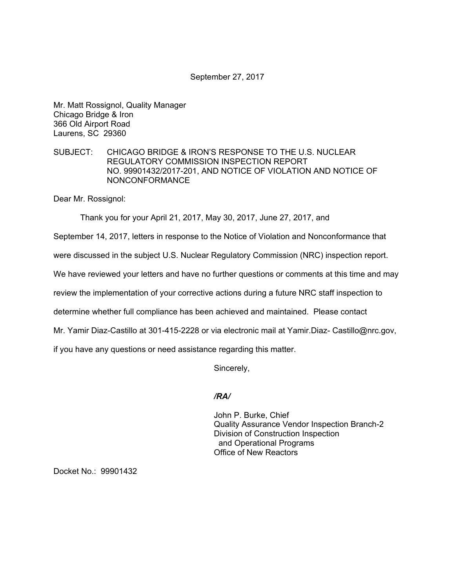### September 27, 2017

Mr. Matt Rossignol, Quality Manager Chicago Bridge & Iron 366 Old Airport Road Laurens, SC 29360

## SUBJECT: CHICAGO BRIDGE & IRON'S RESPONSE TO THE U.S. NUCLEAR REGULATORY COMMISSION INSPECTION REPORT NO. 99901432/2017-201, AND NOTICE OF VIOLATION AND NOTICE OF NONCONFORMANCE

Dear Mr. Rossignol:

Thank you for your April 21, 2017, May 30, 2017, June 27, 2017, and

September 14, 2017, letters in response to the Notice of Violation and Nonconformance that

were discussed in the subject U.S. Nuclear Regulatory Commission (NRC) inspection report.

We have reviewed your letters and have no further questions or comments at this time and may

review the implementation of your corrective actions during a future NRC staff inspection to

determine whether full compliance has been achieved and maintained. Please contact

Mr. Yamir Diaz-Castillo at 301-415-2228 or via electronic mail at Yamir.Diaz- Castillo@nrc.gov,

if you have any questions or need assistance regarding this matter.

Sincerely,

# */RA/*

John P. Burke, Chief Quality Assurance Vendor Inspection Branch-2 Division of Construction Inspection and Operational Programs Office of New Reactors

Docket No.: 99901432